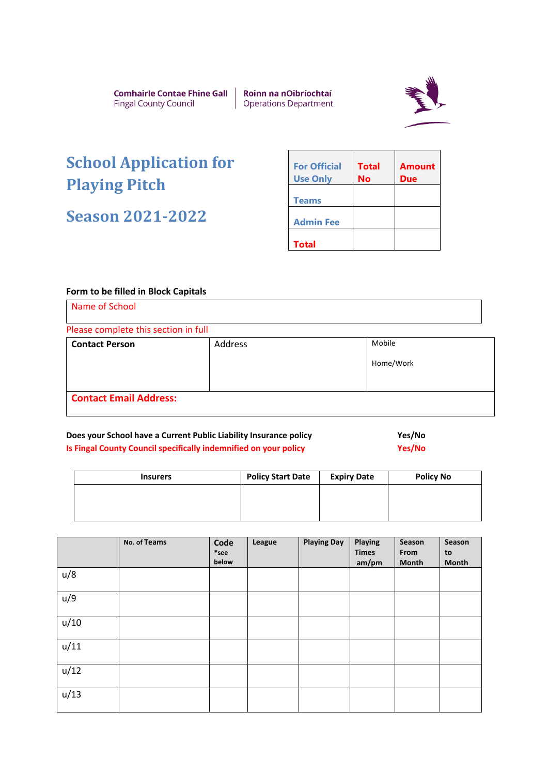Comhairle Contae Fhine Gall **Fingal County Council** 

Roinn na nOibríochtaí **Operations Department** 



## **School Application for Playing Pitch**

**Season 2021-2022**

| <b>For Official</b><br><b>Use Only</b> | <b>Total</b><br>No | <b>Amount</b><br>Due |
|----------------------------------------|--------------------|----------------------|
| <b>Teams</b>                           |                    |                      |
| <b>Admin Fee</b>                       |                    |                      |
| <b>Total</b>                           |                    |                      |

## **Form to be filled in Block Capitals**

| Please complete this section in full |         |           |  |  |  |
|--------------------------------------|---------|-----------|--|--|--|
| <b>Contact Person</b>                | Address | Mobile    |  |  |  |
|                                      |         | Home/Work |  |  |  |
|                                      |         |           |  |  |  |

## **Does your School have a Current Public Liability Insurance policy Wasking Mes/No Is Fingal County Council specifically indemnified on your policy Wassetter States Associates** Yes/No

| <b>Insurers</b> | <b>Policy Start Date</b> | <b>Expiry Date</b> | <b>Policy No</b> |
|-----------------|--------------------------|--------------------|------------------|
|                 |                          |                    |                  |
|                 |                          |                    |                  |
|                 |                          |                    |                  |

|      | No. of Teams | Code<br>$*$ see<br>below | League | <b>Playing Day</b> | Playing<br><b>Times</b><br>am/pm | Season<br>From<br><b>Month</b> | Season<br>to<br><b>Month</b> |
|------|--------------|--------------------------|--------|--------------------|----------------------------------|--------------------------------|------------------------------|
| u/8  |              |                          |        |                    |                                  |                                |                              |
| u/9  |              |                          |        |                    |                                  |                                |                              |
| u/10 |              |                          |        |                    |                                  |                                |                              |
| u/11 |              |                          |        |                    |                                  |                                |                              |
| u/12 |              |                          |        |                    |                                  |                                |                              |
| u/13 |              |                          |        |                    |                                  |                                |                              |